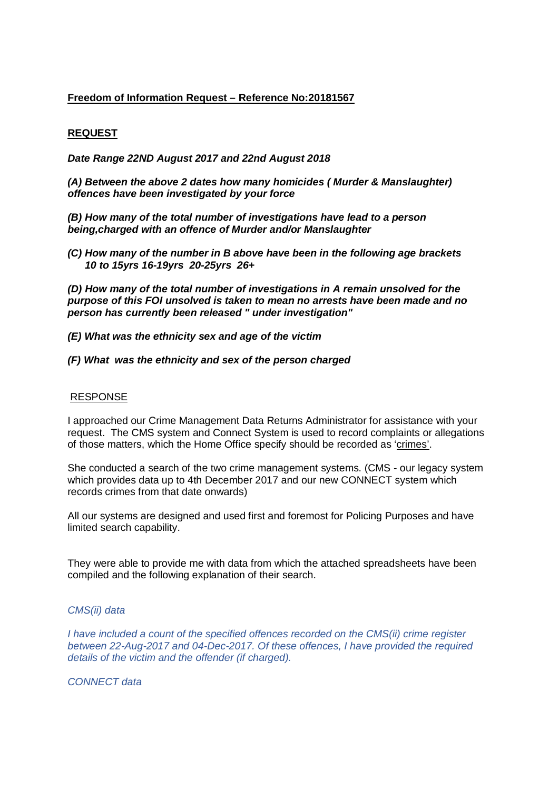## **Freedom of Information Request – Reference No:20181567**

## **REQUEST**

*Date Range 22ND August 2017 and 22nd August 2018*

*(A) Between the above 2 dates how many homicides ( Murder & Manslaughter) offences have been investigated by your force*

*(B) How many of the total number of investigations have lead to a person being,charged with an offence of Murder and/or Manslaughter*

*(C) How many of the number in B above have been in the following age brackets 10 to 15yrs 16-19yrs 20-25yrs 26+*

*(D) How many of the total number of investigations in A remain unsolved for the purpose of this FOI unsolved is taken to mean no arrests have been made and no person has currently been released " under investigation"*

- *(E) What was the ethnicity sex and age of the victim*
- *(F) What was the ethnicity and sex of the person charged*

## RESPONSE

I approached our Crime Management Data Returns Administrator for assistance with your request. The CMS system and Connect System is used to record complaints or allegations of those matters, which the Home Office specify should be recorded as 'crimes'.

She conducted a search of the two crime management systems. (CMS - our legacy system which provides data up to 4th December 2017 and our new CONNECT system which records crimes from that date onwards)

All our systems are designed and used first and foremost for Policing Purposes and have limited search capability.

They were able to provide me with data from which the attached spreadsheets have been compiled and the following explanation of their search.

## *CMS(ii) data*

*I have included a count of the specified offences recorded on the CMS(ii) crime register between 22-Aug-2017 and 04-Dec-2017. Of these offences, I have provided the required details of the victim and the offender (if charged).* 

*CONNECT data*